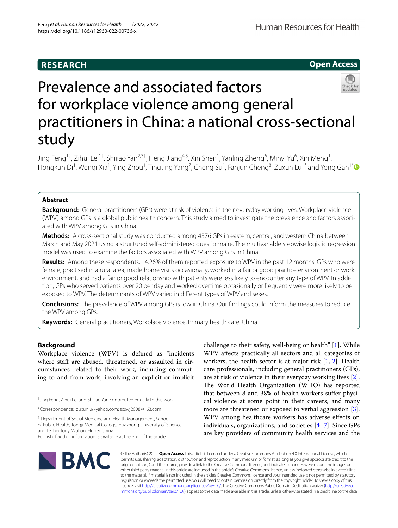# **RESEARCH**

**Open Access**

# Prevalence and associated factors for workplace violence among general practitioners in China: a national cross-sectional study

Jing Feng<sup>1†</sup>, Zihui Lei<sup>1†</sup>, Shijiao Yan<sup>2,3†</sup>, Heng Jiang<sup>4,5</sup>, Xin Shen<sup>1</sup>, Yanling Zheng<sup>6</sup>, Minyi Yu<sup>6</sup>, Xin Meng<sup>1</sup>, Hongkun Di<sup>1</sup>, Wenqi Xia<sup>1</sup>, Ying Zhou<sup>1</sup>, Tingting Yang<sup>7</sup>, Cheng Su<sup>1</sup>, Fanjun Cheng<sup>8</sup>, Zuxun Lu<sup>1[\\*](http://orcid.org/0000-0002-7330-2937)</sup> and Yong Gan<sup>1\*</sup>

# **Abstract**

**Background:** General practitioners (GPs) were at risk of violence in their everyday working lives. Workplace violence (WPV) among GPs is a global public health concern. This study aimed to investigate the prevalence and factors associated with WPV among GPs in China.

**Methods:** A cross-sectional study was conducted among 4376 GPs in eastern, central, and western China between March and May 2021 using a structured self-administered questionnaire. The multivariable stepwise logistic regression model was used to examine the factors associated with WPV among GPs in China.

**Results:** Among these respondents, 14.26% of them reported exposure to WPV in the past 12 months. GPs who were female, practised in a rural area, made home visits occasionally, worked in a fair or good practice environment or work environment, and had a fair or good relationship with patients were less likely to encounter any type of WPV. In addition, GPs who served patients over 20 per day and worked overtime occasionally or frequently were more likely to be exposed to WPV. The determinants of WPV varied in diferent types of WPV and sexes.

**Conclusions:** The prevalence of WPV among GPs is low in China. Our fndings could inform the measures to reduce the WPV among GPs.

**Keywords:** General practitioners, Workplace violence, Primary health care, China

# **Background**

Workplace violence (WPV) is defned as "incidents where staff are abused, threatened, or assaulted in circumstances related to their work, including commuting to and from work, involving an explicit or implicit

† Jing Feng, Zihui Lei and Shijiao Yan contributed equally to this work \*Correspondence: zuxunlu@yahoo.com; scswj2008@163.com

<sup>1</sup> Department of Social Medicine and Health Management, School of Public Health, Tongji Medical College, Huazhong University of Science and Technology, Wuhan, Hubei, China Full list of author information is available at the end of the article

workers, the health sector is at major risk [[1,](#page-10-0) [2](#page-10-1)]. Health care professionals, including general practitioners (GPs), are at risk of violence in their everyday working lives [\[2](#page-10-1)]. The World Health Organization (WHO) has reported that between 8 and 38% of health workers suffer physical violence at some point in their careers, and many more are threatened or exposed to verbal aggression [\[3](#page-10-2)]. WPV among healthcare workers has adverse efects on individuals, organizations, and societies [[4–](#page-10-3)[7](#page-10-4)]. Since GPs are key providers of community health services and the

challenge to their safety, well-being or health" [\[1](#page-10-0)]. While WPV afects practically all sectors and all categories of



© The Author(s) 2022. **Open Access** This article is licensed under a Creative Commons Attribution 4.0 International License, which permits use, sharing, adaptation, distribution and reproduction in any medium or format, as long as you give appropriate credit to the original author(s) and the source, provide a link to the Creative Commons licence, and indicate if changes were made. The images or other third party material in this article are included in the article's Creative Commons licence, unless indicated otherwise in a credit line to the material. If material is not included in the article's Creative Commons licence and your intended use is not permitted by statutory regulation or exceeds the permitted use, you will need to obtain permission directly from the copyright holder. To view a copy of this licence, visit [http://creativecommons.org/licenses/by/4.0/.](http://creativecommons.org/licenses/by/4.0/) The Creative Commons Public Domain Dedication waiver ([http://creativeco](http://creativecommons.org/publicdomain/zero/1.0/) [mmons.org/publicdomain/zero/1.0/](http://creativecommons.org/publicdomain/zero/1.0/)) applies to the data made available in this article, unless otherwise stated in a credit line to the data.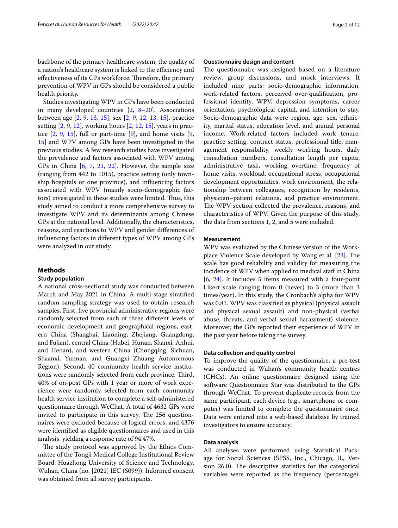backbone of the primary healthcare system, the quality of a nation's healthcare system is linked to the efficiency and effectiveness of its GPs workforce. Therefore, the primary prevention of WPV in GPs should be considered a public health priority.

Studies investigating WPV in GPs have been conducted in many developed countries  $[2, 8-20]$  $[2, 8-20]$  $[2, 8-20]$  $[2, 8-20]$  $[2, 8-20]$ . Associations between age [\[2](#page-10-1), [9,](#page-10-7) [13,](#page-10-8) [15](#page-10-9)], sex [\[2](#page-10-1), [9](#page-10-7), [12,](#page-10-10) [13](#page-10-8), [15](#page-10-9)], practice setting  $[2, 9, 12]$  $[2, 9, 12]$  $[2, 9, 12]$  $[2, 9, 12]$  $[2, 9, 12]$  $[2, 9, 12]$ , working hours  $[2, 12, 15]$  $[2, 12, 15]$  $[2, 12, 15]$  $[2, 12, 15]$  $[2, 12, 15]$ , years in practice  $[2, 9, 15]$  $[2, 9, 15]$  $[2, 9, 15]$  $[2, 9, 15]$  $[2, 9, 15]$  $[2, 9, 15]$ , full or part-time  $[9]$  $[9]$ , and home visits  $[9]$ , [15\]](#page-10-9) and WPV among GPs have been investigated in the previous studies. A few research studies have investigated the prevalence and factors associated with WPV among GPs in China [\[6](#page-10-11), [7,](#page-10-4) [21](#page-10-12), [22\]](#page-10-13). However, the sample size (ranging from 442 to 1015), practice setting (only township hospitals or one province), and infuencing factors associated with WPV (mainly socio-demographic factors) investigated in these studies were limited. Thus, this study aimed to conduct a more comprehensive survey to investigate WPV and its determinants among Chinese GPs at the national level. Additionally, the characteristics, reasons, and reactions to WPV and gender diferences of infuencing factors in diferent types of WPV among GPs were analyzed in our study.

# **Methods**

# **Study population**

A national cross-sectional study was conducted between March and May 2021 in China. A multi-stage stratifed random sampling strategy was used to obtain research samples. First, fve provincial administrative regions were randomly selected from each of three diferent levels of economic development and geographical regions, eastern China (Shanghai, Liaoning, Zhejiang, Guangdong, and Fujian), central China (Hubei, Hunan, Shanxi, Anhui, and Henan), and western China (Chongqing, Sichuan, Shaanxi, Yunnan, and Guangxi Zhuang Autonomous Region). Second, 40 community health service institutions were randomly selected from each province. Third, 40% of on-post GPs with 1 year or more of work experience were randomly selected from each community health service institution to complete a self-administered questionnaire through WeChat. A total of 4632 GPs were invited to participate in this survey. The 256 questionnaires were excluded because of logical errors, and 4376 were identifed as eligible questionnaires and used in this analysis, yielding a response rate of 94.47%.

The study protocol was approved by the Ethics Committee of the Tongji Medical College Institutional Review Board, Huazhong University of Science and Technology, Wuhan, China (no. [2021] IEC (S099)). Informed consent was obtained from all survey participants.

# **Questionnaire design and content**

The questionnaire was designed based on a literature review, group discussions, and mock interviews. It included nine parts: socio-demographic information, work-related factors, perceived over-qualifcation, professional identity, WPV, depression symptoms, career orientation, psychological capital, and intention to stay. Socio-demographic data were region, age, sex, ethnicity, marital status, education level, and annual personal income. Work-related factors included work tenure, practice setting, contract status, professional title, management responsibility, weekly working hours, daily consultation numbers, consultation length per capita, administrative task, working overtime, frequency of home visits, workload, occupational stress, occupational development opportunities, work environment, the relationship between colleagues, recognition by residents, physician–patient relations, and practice environment. The WPV section collected the prevalence, reasons, and characteristics of WPV. Given the purpose of this study, the data from sections 1, 2, and 5 were included.

# **Measurement**

WPV was evaluated by the Chinese version of the Work-place Violence Scale developed by Wang et al. [[23](#page-10-14)]. The scale has good reliability and validity for measuring the incidence of WPV when applied to medical staff in China [[6,](#page-10-11) [24\]](#page-10-15). It includes 5 items measured with a four-point Likert scale ranging from 0 (never) to 3 (more than 3 times/year). In this study, the Cronbach's alpha for WPV was 0.81. WPV was classifed as physical (physical assault and physical sexual assault) and non-physical (verbal abuse, threats, and verbal sexual harassment) violence. Moreover, the GPs reported their experience of WPV in the past year before taking the survey.

# **Data collection and quality control**

To improve the quality of the questionnaire, a pre-test was conducted in Wuhan's community health centres (CHCs). An online questionnaire designed using the software Questionnaire Star was distributed to the GPs through WeChat. To prevent duplicate records from the same participant, each device (e.g., smartphone or computer) was limited to complete the questionnaire once. Data were entered into a web-based database by trained investigators to ensure accuracy.

# **Data analysis**

All analyses were performed using Statistical Package for Social Sciences (SPSS, Inc., Chicago, IL, Version 26.0). The descriptive statistics for the categorical variables were reported as the frequency (percentage).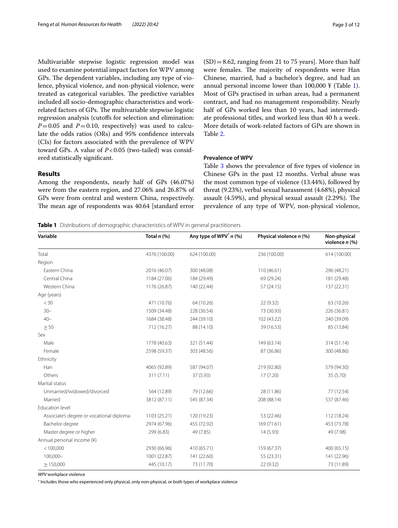Multivariable stepwise logistic regression model was used to examine potential impact factors for WPV among GPs. The dependent variables, including any type of violence, physical violence, and non-physical violence, were treated as categorical variables. The predictive variables included all socio-demographic characteristics and workrelated factors of GPs. The multivariable stepwise logistic regression analysis (cutofs for selection and elimination:  $P=0.05$  and  $P=0.10$ , respectively) was used to calculate the odds ratios (ORs) and 95% confdence intervals (CIs) for factors associated with the prevalence of WPV toward GPs. A value of  $P < 0.05$  (two-tailed) was considered statistically signifcant.

# **Results**

Among the respondents, nearly half of GPs (46.07%) were from the eastern region, and 27.06% and 26.87% of GPs were from central and western China, respectively. The mean age of respondents was 40.64 [standard error  $(SD) = 8.62$ , ranging from 21 to 75 years]. More than half were females. The majority of respondents were Han Chinese, married, had a bachelor's degree, and had an annual personal income lower than  $100,000 \frac{y}{x}$  $100,000 \frac{y}{x}$  (Table 1). Most of GPs practised in urban areas, had a permanent contract, and had no management responsibility. Nearly half of GPs worked less than 10 years, had intermediate professional titles, and worked less than 40 h a week. More details of work-related factors of GPs are shown in Table [2](#page-3-0).

# **Prevalence of WPV**

Table [3](#page-4-0) shows the prevalence of fve types of violence in Chinese GPs in the past 12 months. Verbal abuse was the most common type of violence (13.44%), followed by threat (9.23%), verbal sexual harassment (4.68%), physical assault  $(4.59%)$ , and physical sexual assault  $(2.29%)$ . The prevalence of any type of WPV, non-physical violence,

<span id="page-2-0"></span>**Table 1** Distributions of demographic characteristics of WPV in general practitioners

| Variable                                 | Total $n$ (%) | Any type of WPV <sup>*</sup> n (%) | Physical violence n (%) | Non-physical<br>violence $n$ (%) |  |
|------------------------------------------|---------------|------------------------------------|-------------------------|----------------------------------|--|
| Total                                    | 4376 (100.00) | 624 (100.00)                       | 236 (100.00)            | 614 (100.00)                     |  |
| Region                                   |               |                                    |                         |                                  |  |
| Eastern China                            | 2016 (46.07)  | 300 (48.08)                        | 110 (46.61)             | 296 (48.21)                      |  |
| Central China                            | 1184 (27.06)  | 184 (29.49)                        | 69 (29.24)              | 181 (29.48)                      |  |
| Western China                            | 1176 (26.87)  | 140 (22.44)                        | 57 (24.15)              | 137 (22.31)                      |  |
| Age (years)                              |               |                                    |                         |                                  |  |
| < 30                                     | 471 (10.76)   | 64 (10.26)                         | 22 (9.32)               | 63 (10.26)                       |  |
| $30 -$                                   | 1509 (34.48)  | 228 (36.54)                        | 73 (30.93)              | 226 (36.81)                      |  |
| $40 -$                                   | 1684 (38.48)  | 244 (39.10)                        | 102 (43.22)             | 240 (39.09)                      |  |
| $\geq 50$                                | 712 (16.27)   | 88 (14.10)                         | 39 (16.53)              | 85 (13.84)                       |  |
| Sex                                      |               |                                    |                         |                                  |  |
| Male                                     | 1778 (40.63)  | 321 (51.44)                        | 149 (63.14)             | 314 (51.14)                      |  |
| Female                                   | 2598 (59.37)  | 303 (48.56)                        | 87 (36.86)              | 300 (48.86)                      |  |
| Ethnicity                                |               |                                    |                         |                                  |  |
| Han                                      | 4065 (92.89)  | 587 (94.07)                        | 219 (92.80)             | 579 (94.30)                      |  |
| Others                                   | 311 (7.11)    | 37 (5.93)                          | 17(7.20)                | 35 (5.70)                        |  |
| Marital status                           |               |                                    |                         |                                  |  |
| Unmarried/widowed/divorced               | 564 (12.89)   | 79 (12.66)                         | 28 (11.86)              | 77 (12.54)                       |  |
| Married                                  | 3812 (87.11)  | 545 (87.34)                        | 208 (88.14)             | 537 (87.46)                      |  |
| Education level                          |               |                                    |                         |                                  |  |
| Associate's degree or vocational diploma | 1103 (25.21)  | 120 (19.23)                        | 53 (22.46)              | 112 (18.24)                      |  |
| Bachelor degree                          | 2974 (67.96)  | 455 (72.92)                        | 169 (71.61)             | 453 (73.78)                      |  |
| Master degree or higher                  | 299 (6.83)    | 49 (7.85)                          | 14(5.93)                | 49 (7.98)                        |  |
| Annual personal income (¥)               |               |                                    |                         |                                  |  |
| < 100,000                                | 2930 (66.96)  | 410 (65.71)                        | 159 (67.37)             | 400 (65.15)                      |  |
| 100,000-                                 | 1001 (22.87)  | 141 (22.60)                        | 55 (23.31)              | 141 (22.96)                      |  |
| $\geq$ 150,000                           | 445 (10.17)   | 73 (11.70)                         | 22 (9.32)               | 73 (11.89)                       |  |

*WPV* workplace violence

∗ Includes those who experienced only physical, only non-physical, or both types of workplace violence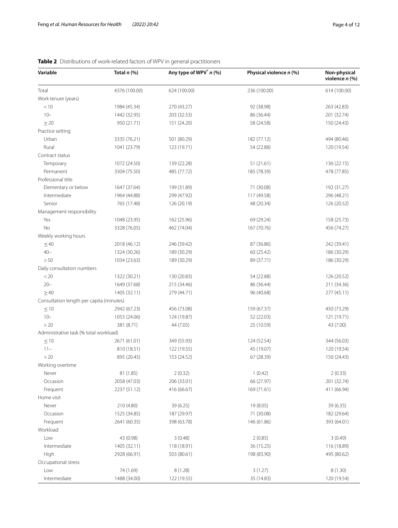| Variable                                 | Total $n$ (%) | Any type of WPV <sup>*</sup> $n$ (%) | Physical violence n (%)<br>Non-physical<br>violence n (%) |              |
|------------------------------------------|---------------|--------------------------------------|-----------------------------------------------------------|--------------|
| Total                                    | 4376 (100.00) | 624 (100.00)                         | 236 (100.00)                                              | 614 (100.00) |
| Work tenure (years)                      |               |                                      |                                                           |              |
| < 10                                     | 1984 (45.34)  | 270 (43.27)                          | 92 (38.98)                                                | 263 (42.83)  |
| $10 -$                                   | 1442 (32.95)  | 203 (32.53)                          | 86 (36.44)                                                | 201 (32.74)  |
| $\geq$ 20                                | 950 (21.71)   | 151 (24.20)                          | 58 (24.58)                                                | 150 (24.43)  |
| Practice setting                         |               |                                      |                                                           |              |
| Urban                                    | 3335 (76.21)  | 501 (80.29)                          | 182 (77.12)                                               | 494 (80.46)  |
| Rural                                    | 1041 (23.79)  | 123 (19.71)                          | 54 (22.88)                                                | 120 (19.54)  |
| Contract status                          |               |                                      |                                                           |              |
| Temporary                                | 1072 (24.50)  | 139 (22.28)                          | 51 (21.61)                                                | 136 (22.15)  |
| Permanent                                | 3304 (75.50)  | 485 (77.72)                          | 185 (78.39)                                               | 478 (77.85)  |
| Professional title                       |               |                                      |                                                           |              |
| Elementary or below                      | 1647 (37.64)  | 199 (31.89)                          | 71 (30.08)                                                | 192 (31.27)  |
| Intermediate                             | 1964 (44.88)  | 299 (47.92)                          | 117 (49.58)                                               | 296 (48.21)  |
| Senior                                   | 765 (17.48)   | 126 (20.19)                          | 48 (20.34)                                                | 126 (20.52)  |
| Management responsibility                |               |                                      |                                                           |              |
| Yes                                      | 1048 (23.95)  | 162 (25.96)                          | 69 (29.24)                                                | 158 (25.73)  |
| No                                       | 3328 (76.05)  | 462 (74.04)                          | 167 (70.76)                                               | 456 (74.27)  |
| Weekly working hours                     |               |                                      |                                                           |              |
| $\leq 40$                                | 2018 (46.12)  | 246 (39.42)                          | 87 (36.86)                                                | 242 (39.41)  |
| $40 -$                                   | 1324 (30.26)  | 189 (30.29)                          | 60 (25.42)                                                | 186 (30.29)  |
| > 50                                     | 1034 (23.63)  | 189 (30.29)                          | 89 (37.71)                                                | 186 (30.29)  |
| Daily consultation numbers               |               |                                      |                                                           |              |
| < 20                                     | 1322 (30.21)  | 130 (20.83)                          | 54 (22.88)                                                | 126 (20.52)  |
| $20 -$                                   | 1649 (37.68)  | 215 (34.46)                          | 86 (36.44)                                                | 211 (34.36)  |
| $\geq 40$                                | 1405 (32.11)  | 279 (44.71)                          | 96 (40.68)                                                | 277 (45.11)  |
| Consultation length per capita (minutes) |               |                                      |                                                           |              |
| $\leq$ 10                                | 2942 (67.23)  | 456 (73.08)                          | 159 (67.37)                                               | 450 (73.29)  |
| $10 -$                                   | 1053 (24.06)  | 124 (19.87)                          | 52 (22.03)                                                | 121 (19.71)  |
| >20                                      | 381 (8.71)    | 44 (7.05)                            | 25 (10.59)                                                | 43 (7.00)    |
| Administrative task (% total workload)   |               |                                      |                                                           |              |
| $\leq$ 10                                | 2671 (61.01)  | 349 (55.93)                          | 124 (52.54)                                               | 344 (56.03)  |
| $11 -$                                   | 810 (18.51)   | 122 (19.55)                          | 45 (19.07)                                                | 120 (19.54)  |
| >20                                      | 895 (20.45)   | 153 (24.52)                          | 67 (28.39)                                                | 150 (24.43)  |
| Working overtime                         |               |                                      |                                                           |              |
| Never                                    | 81 (1.85)     | 2(0.32)                              | 1(0.42)                                                   | 2(0.33)      |
| Occasion                                 | 2058 (47.03)  | 206 (33.01)                          | 66 (27.97)                                                | 201 (32.74)  |
| Frequent                                 | 2237 (51.12)  | 416 (66.67)                          | 169 (71.61)                                               | 411 (66.94)  |
| Home visit                               |               |                                      |                                                           |              |
| Never                                    | 210 (4.80)    | 39 (6.25)                            | 19 (8.05)                                                 | 39 (6.35)    |
| Occasion                                 | 1525 (34.85)  | 187 (29.97)                          | 71 (30.08)                                                | 182 (29.64)  |
| Frequent                                 | 2641 (60.35)  | 398 (63.78)                          | 146 (61.86)                                               | 393 (64.01)  |
| Workload                                 |               |                                      |                                                           |              |
| Low                                      | 43 (0.98)     | 3(0.48)                              | 2(0.85)                                                   | 3(0.49)      |
| Intermediate                             | 1405 (32.11)  | 118 (18.91)                          | 36 (15.25)                                                | 116 (18.89)  |
| High                                     | 2928 (66.91)  | 503 (80.61)                          | 198 (83.90)                                               | 495 (80.62)  |
| Occupational stress                      |               |                                      |                                                           |              |
| Low                                      | 74 (1.69)     | 8(1.28)                              | 3(1.27)                                                   | 8(1.30)      |
| Intermediate                             | 1488 (34.00)  | 122 (19.55)                          | 35 (14.83)                                                | 120 (19.54)  |

# <span id="page-3-0"></span>**Table 2** Distributions of work-related factors of WPV in general practitioners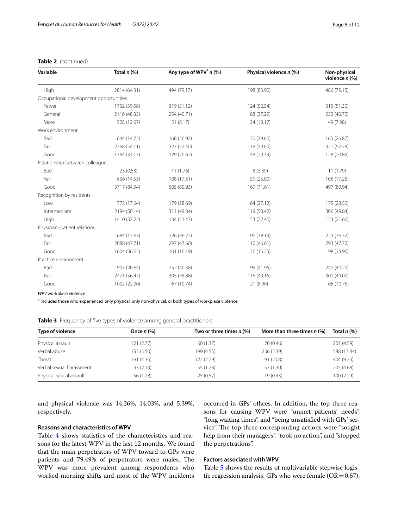# **Table 2** (continued)

| Variable                               | Total $n$ (%) | Any type of WPV <sup>*</sup> n (%) | Physical violence n (%) | Non-physical<br>violence $n$ (%) |  |
|----------------------------------------|---------------|------------------------------------|-------------------------|----------------------------------|--|
| High                                   | 2814 (64.31)  | 494 (79.17)                        | 198 (83.90)             | 486 (79.15)                      |  |
| Occupational development opportunities |               |                                    |                         |                                  |  |
| Fewer                                  | 1732 (39.58)  | 319 (51.12)                        | 124 (52.54)             | 315 (51.30)                      |  |
| General                                | 2116 (48.35)  | 254 (40.71)                        | 88 (37.29)              | 250 (40.72)                      |  |
| More                                   | 528 (12.07)   | 51 (8.17)                          | 24 (10.17)              | 49 (7.98)                        |  |
| Work environment                       |               |                                    |                         |                                  |  |
| Bad                                    | 644 (14.72)   | 168 (26.92)                        | 70 (29.66)              | 165 (26.87)                      |  |
| Fair                                   | 2368 (54.11)  | 327 (52.40)                        | 118 (50.00)             | 321 (52.28)                      |  |
| Good                                   | 1364 (31.17)  | 129 (20.67)                        | 48 (20.34)              | 128 (20.85)                      |  |
| Relationship between colleagues        |               |                                    |                         |                                  |  |
| Bad                                    | 23(0.53)      | 11(1.76)                           | 8(3.39)                 | 11(1.79)                         |  |
| Fair                                   | 636 (14.53)   | 108 (17.31)                        | 59 (25.00)              | 106 (17.26)                      |  |
| Good                                   | 3717 (84.94)  | 505 (80.93)                        | 169 (71.61)             | 497 (80.94)                      |  |
| Recognition by residents               |               |                                    |                         |                                  |  |
| Low                                    | 772 (17.64)   | 179 (28.69)                        | 64(27.12)               | 175 (28.50)                      |  |
| Intermediate                           | 2194 (50.14)  | 311 (49.84)                        | 119 (50.42)             | 306 (49.84)                      |  |
| High                                   | 1410 (32.22)  | 134 (21.47)                        | 53 (22.46)              | 133 (21.66)                      |  |
| Physician-patient relations            |               |                                    |                         |                                  |  |
| Bad                                    | 684 (15.63)   | 226 (36.22)                        | 90 (38.14)              | 223 (36.32)                      |  |
| Fair                                   | 2088 (47.71)  | 297 (47.60)                        | 110 (46.61)             | 293 (47.72)                      |  |
| Good                                   | 1604 (36.65)  | 101 (16.19)                        | 36 (15.25)              | 98 (15.96)                       |  |
| Practice environment                   |               |                                    |                         |                                  |  |
| Bad                                    | 903 (20.64)   | 252 (40.38)                        | 99 (41.95)              | 247 (40.23)                      |  |
| Fair                                   | 2471 (56.47)  | 305 (48.88)                        | 116 (49.15)             | 301 (49.02)                      |  |
| Good                                   | 1002 (22.90)  | 67 (10.74)                         | 21 (8.90)               | 66 (10.75)                       |  |

*WPV* workplace violence

∗ Includes those who experienced only physical, only non-physical, or both types of workplace violence

<span id="page-4-0"></span>

|  |  |  |  |  |  | Table 3 Frequency of five types of violence among general practitioners |
|--|--|--|--|--|--|-------------------------------------------------------------------------|
|--|--|--|--|--|--|-------------------------------------------------------------------------|

| Type of violence         | Once $n$ $%$ | Two or three times $n$ (%) | More than three times $n$ (%) | Total $n$ $(\%)$ |
|--------------------------|--------------|----------------------------|-------------------------------|------------------|
| Physical assault         | 121(2.77)    | 60 (1.37)                  | 20(0.46)                      | 201 (4.59)       |
| Verbal abuse             | 153 (3.50)   | 199 (4.55)                 | 236 (5.39)                    | 588 (13.44)      |
| Threat                   | 191 (4.36)   | 122 (2.79)                 | 91(2.08)                      | 404 (9.23)       |
| Verbal sexual harassment | 93(2.13)     | 55 (1.26)                  | 57 (1.30)                     | 205 (4.68)       |
| Physical sexual assault  | 56 (1.28)    | 25(0.57)                   | 19(0.43)                      | 100(2.29)        |

and physical violence was 14.26%, 14.03%, and 5.39%, respectively.

# **Reasons and characteristics of WPV**

Table [4](#page-5-0) shows statistics of the characteristics and reasons for the latest WPV in the last 12 months. We found that the main perpetrators of WPV toward to GPs were patients and 79.49% of perpetrators were males. The WPV was more prevalent among respondents who worked morning shifts and most of the WPV incidents

occurred in GPs' offices. In addition, the top three reasons for causing WPV were "unmet patients' needs", "long waiting times", and "being unsatisfed with GPs' service". The top three corresponding actions were "sought help from their managers", "took no action", and "stopped the perpetrations".

# **Factors associated with WPV**

Table [5](#page-7-0) shows the results of multivariable stepwise logistic regression analysis. GPs who were female ( $OR = 0.67$ ),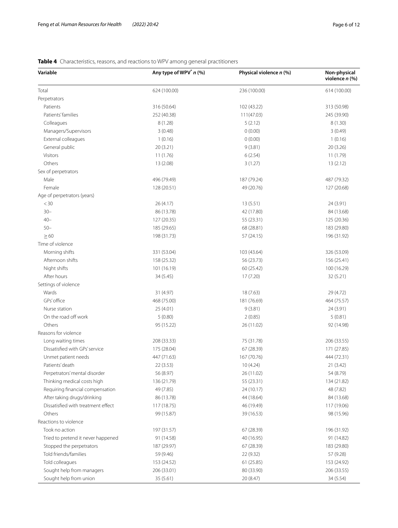# **Variable Any type of WPV\*** *n* **(%) Physical violence** *n* **(%) Non-physical violence** *n* **(%)** Total 624 (100.00) 236 (100.00) 614 (100.00) Perpetrators Patients 316 (50.64) 316 (50.64) 316 (50.64) 316 (50.64) 316 (50.98) Patients' families 252 (40.38) 225 (39.90) 252 (40.38) 225 (39.90  $\text{Colleagues}$  8 (1.28) 5 (2.12) 8 (1.28) Managers/Supervisors 3 (0.48) 3 (0.48) 3 (0.48) 3 (0.49) 3 (0.49) 3 (0.49) External colleagues 1 (0.16) 1 (0.16) 1 (0.16) 0 (0.00) 1 (0.16) General public 20 (3.26) 20 (3.21) 20 (3.21) 9 (3.81) 20 (3.26) Visitors 11 (1.79) 11 (1.76) 11 (1.76) 12 (2.54) 11 (1.79) 11 (1.79) Others 13 (2.08) 13 (2.08) 13 (2.08) 13 (2.08) 13 (2.08) 13 (2.12) Sex of perpetrators Male 1988 1993 1994 1996 (79.49) 187 (79.24) 187 (79.24) 487 (79.32) Female 128 (20.51) 49 (20.76) 127 (20.68) Age of perpetrators (years)  $(4.17)$   $26(4.17)$   $13(5.51)$   $24(3.91)$ 30– 86 (13.78) 42 (17.80) 84 (13.68) 40– 127 (20.35) 55 (23.31) 125 (20.36) 50– 185 (29.65) 68 (28.81) 183 (29.80)  $\geq$  60 196 (31.92) 57 (24.15) 57 (24.15) 57 (31.92) Time of violence Morning shifts 331 (53.04) 331 (53.04) 103 (43.64) 326 (53.09) 326 (53.09) Afternoon shifts 156 (25.41) 158 (25.32) 56 (23.73) 156 (25.73 Night shifts 100 (16.29) 101 (16.19) 101 (16.19) 60 (25.42) 60 (25.42) 100 (16.29) After hours 32 (5.21) 32 (5.21) 33 (5.45) 32 (5.45) 32 (5.45) 32 (5.21) Settings of violence Wards 31 (4.97) 31 (4.97) 31 (4.97) 31 (4.97) 31 (4.97) 31 (5.63) 31 (5.63) 31 (5.63) 31 (5.63) 31 (5.63) 31 (5.63) GPs' office 1988 (75.00) 181 (76.69) 181 (76.69) 464 (75.57) Nurse station 25 (4.01) 24 (3.91) 24 (3.91) On the road off work 5 (0.80) 5 (0.80) 2 (0.85) 5 (0.81) Others 92 (14.98) 92 (14.98) 95 (15.22) 95 (15.22) 95 (15.22) 95 (17.1.02) 96 (17.02) Reasons for violence Long waiting times 208 (33.33) 75 (31.78) 206 (33.55) Dissatisfed with GPs' service 175 (28.04) 67 (28.39) 171 (27.85) Unmet patient needs **447** (71.63) 447 (71.63) 167 (70.76) 444 (72.31) Patients' death 21 (3.42) 22 (3.53) 10 (4.24) 22 (3.53 (3.42) Perpetrators'mental disorder 56 (8.97) 26 (11.02) 54 (8.79) Thinking medical costs high 136 (21.79) 55 (23.31) 134 (21.82) Requiring financial compensation 49 (7.85) 48 (7.82) 24 (10.17) 48 (7.82) After taking drugs/drinking 64 (13.68) 86 (13.78) 44 (18.64) 44 (18.64) 84 (13.68) Dissatisfed with treatment efect 117 (18.75) 46 (19.49) 117 (19.06) Others 39 (15.96) 98 (15.87) 99 (15.87) 39 (16.53) 39 (16.53) Reactions to violence Took no action 197 (31.57) 67 (28.39) 196 (31.92) Tried to pretend it never happened 91 (14.58) 40 (16.95) 91 (14.82) Stopped the perpetrators 187 (29.97) 183 (29.97) 67 (28.39) 183 (29.80) Told friends/families 59 (9.46) 22 (9.32) 57 (9.28) Told colleagues 153 (24.92) 153 (24.52) 61 (25.85) 61 (25.85) 153 (24.92) Sought help from managers 206 (33.01) 80 (33.90) 206 (33.55) Sought help from union 35 (5.61) 34 (5.54) 34 (5.54)

# <span id="page-5-0"></span>**Table 4** Characteristics, reasons, and reactions to WPV among general practitioners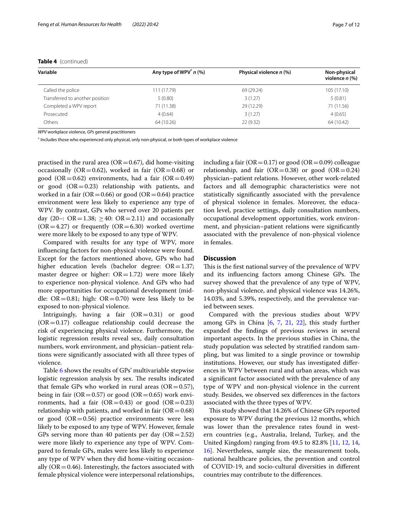| Variable                        | Any type of WPV <sup>*</sup> n (%) | Physical violence n (%) | Non-physical<br>violence $n$ (%) |  |
|---------------------------------|------------------------------------|-------------------------|----------------------------------|--|
| Called the police               | 111 (17.79)                        | 69 (29.24)              | 105 (17.10)                      |  |
| Transferred to another position | 5(0.80)                            | 3(1.27)                 | 5(0.81)                          |  |
| Completed a WPV report          | 71 (11.38)                         | 29 (12.29)              | 71 (11.56)                       |  |
| Prosecuted                      | 4(0.64)                            | 3(1.27)                 | 4(0.65)                          |  |
| Others                          | 64 (10.26)                         | 22(9.32)                | 64 (10.42)                       |  |

# **Table 4** (continued)

*WPV* workplace violence, *GPs* general practitioners

∗ Includes those who experienced only physical, only non-physical, or both types of workplace violence

practised in the rural area ( $OR = 0.67$ ), did home-visiting occasionally (OR=0.62), worked in fair (OR=0.68) or good (OR=0.62) environments, had a fair (OR=0.49) or good  $(OR=0.23)$  relationship with patients, and worked in a fair ( $OR = 0.66$ ) or good ( $OR = 0.64$ ) practice environment were less likely to experience any type of WPV. By contrast, GPs who served over 20 patients per day (20–: OR = 1.38;  $\geq$  40: OR = 2.11) and occasionally  $(OR = 4.27)$  or frequently  $(OR = 6.30)$  worked overtime were more likely to be exposed to any type of WPV.

Compared with results for any type of WPV, more infuencing factors for non-physical violence were found. Except for the factors mentioned above, GPs who had higher education levels (bachelor degree:  $OR = 1.37$ ; master degree or higher:  $OR = 1.72$ ) were more likely to experience non-physical violence. And GPs who had more opportunities for occupational development (middle:  $OR = 0.81$ ; high:  $OR = 0.70$ ) were less likely to be exposed to non-physical violence.

Intriguingly, having a fair  $(OR=0.31)$  or good  $(OR = 0.17)$  colleague relationship could decrease the risk of experiencing physical violence. Furthermore, the logistic regression results reveal sex, daily consultation numbers, work environment, and physician–patient relations were signifcantly associated with all three types of violence.

Table [6](#page-8-0) shows the results of GPs' multivariable stepwise logistic regression analysis by sex. The results indicated that female GPs who worked in rural areas  $(OR=0.57)$ , being in fair ( $OR = 0.57$ ) or good ( $OR = 0.65$ ) work environments, had a fair  $(OR=0.43)$  or good  $(OR=0.23)$ relationship with patients, and worked in fair ( $OR = 0.68$ ) or good  $(OR = 0.56)$  practice environments were less likely to be exposed to any type of WPV. However, female GPs serving more than 40 patients per day  $(OR=2.52)$ were more likely to experience any type of WPV. Compared to female GPs, males were less likely to experience any type of WPV when they did home-visiting occasionally  $(OR = 0.46)$ . Interestingly, the factors associated with female physical violence were interpersonal relationships, including a fair ( $OR = 0.17$ ) or good ( $OR = 0.09$ ) colleague relationship, and fair  $(OR = 0.38)$  or good  $(OR = 0.24)$ physician–patient relations. However, other work-related factors and all demographic characteristics were not statistically signifcantly associated with the prevalence of physical violence in females. Moreover, the education level, practice settings, daily consultation numbers, occupational development opportunities, work environment, and physician–patient relations were signifcantly associated with the prevalence of non-physical violence in females.

# **Discussion**

This is the first national survey of the prevalence of WPV and its influencing factors among Chinese GPs. The survey showed that the prevalence of any type of WPV, non-physical violence, and physical violence was 14.26%, 14.03%, and 5.39%, respectively, and the prevalence varied between sexes.

Compared with the previous studies about WPV among GPs in China [\[6](#page-10-11), [7](#page-10-4), [21,](#page-10-12) [22](#page-10-13)], this study further expanded the fndings of previous reviews in several important aspects. In the previous studies in China, the study population was selected by stratifed random sampling, but was limited to a single province or township institutions. However, our study has investigated diferences in WPV between rural and urban areas, which was a signifcant factor associated with the prevalence of any type of WPV and non-physical violence in the current study. Besides, we observed sex diferences in the factors associated with the three types of WPV.

This study showed that 14.26% of Chinese GPs reported exposure to WPV during the previous 12 months, which was lower than the prevalence rates found in western countries (e.g., Australia, Ireland, Turkey, and the United Kingdom) ranging from 49.5 to 82.8% [[11,](#page-10-16) [12,](#page-10-10) [14](#page-10-17), [16\]](#page-10-18). Nevertheless, sample size, the measurement tools, national healthcare policies, the prevention and control of COVID-19, and socio-cultural diversities in diferent countries may contribute to the diferences.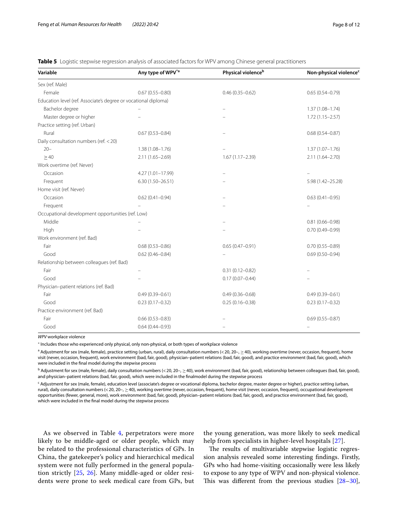| Variable                                                        | Any type of WPV <sup>*a</sup> | Physical violence <sup>b</sup> | Non-physical violence <sup>c</sup> |
|-----------------------------------------------------------------|-------------------------------|--------------------------------|------------------------------------|
| Sex (ref. Male)                                                 |                               |                                |                                    |
| Female                                                          | $0.67(0.55 - 0.80)$           | $0.46(0.35 - 0.62)$            | $0.65(0.54 - 0.79)$                |
| Education level (ref. Associate's degree or vocational diploma) |                               |                                |                                    |
| Bachelor degree                                                 |                               |                                | $1.37(1.08 - 1.74)$                |
| Master degree or higher                                         |                               |                                | $1.72(1.15 - 2.57)$                |
| Practice setting (ref. Urban)                                   |                               |                                |                                    |
| Rural                                                           | $0.67(0.53 - 0.84)$           |                                | $0.68(0.54 - 0.87)$                |
| Daily consultation numbers (ref. < 20)                          |                               |                                |                                    |
| $20 -$                                                          | $1.38(1.08 - 1.76)$           |                                | $1.37(1.07 - 1.76)$                |
| >40                                                             | $2.11(1.65 - 2.69)$           | $1.67(1.17 - 2.39)$            | $2.11(1.64 - 2.70)$                |
| Work overtime (ref. Never)                                      |                               |                                |                                    |
| Occasion                                                        | 4.27 (1.01-17.99)             |                                |                                    |
| Frequent                                                        | $6.30(1.50 - 26.51)$          |                                | 5.98 (1.42-25.28)                  |
| Home visit (ref. Never)                                         |                               |                                |                                    |
| Occasion                                                        | $0.62(0.41 - 0.94)$           |                                | $0.63(0.41 - 0.95)$                |
| Frequent                                                        |                               |                                |                                    |
| Occupational development opportunities (ref. Low)               |                               |                                |                                    |
| Middle                                                          |                               |                                | $0.81(0.66 - 0.98)$                |
| High                                                            |                               |                                | $0.70(0.49 - 0.99)$                |
| Work environment (ref. Bad)                                     |                               |                                |                                    |
| Fair                                                            | $0.68(0.53 - 0.86)$           | $0.65(0.47 - 0.91)$            | $0.70(0.55 - 0.89)$                |
| Good                                                            | $0.62(0.46 - 0.84)$           |                                | $0.69(0.50 - 0.94)$                |
| Relationship between colleagues (ref. Bad)                      |                               |                                |                                    |
| Fair                                                            |                               | $0.31(0.12 - 0.82)$            |                                    |
| Good                                                            |                               | $0.17(0.07 - 0.44)$            |                                    |
| Physician-patient relations (ref. Bad)                          |                               |                                |                                    |
| Fair                                                            | $0.49(0.39 - 0.61)$           | $0.49(0.36 - 0.68)$            | $0.49(0.39 - 0.61)$                |
| Good                                                            | $0.23(0.17 - 0.32)$           | $0.25(0.16 - 0.38)$            | $0.23(0.17-0.32)$                  |
| Practice environment (ref. Bad)                                 |                               |                                |                                    |
| Fair                                                            | $0.66(0.53 - 0.83)$           |                                | $0.69(0.55 - 0.87)$                |
| Good                                                            | $0.64(0.44 - 0.93)$           |                                |                                    |

<span id="page-7-0"></span>**Table 5** Logistic stepwise regression analysis of associated factors for WPV among Chinese general practitioners

*WPV* workplace violence

∗ Includes those who experienced only physical, only non-physical, or both types of workplace violence

 $^{\rm a}$  Adjustment for sex (male, female), practice setting (urban, rural), daily consultation numbers (< 20, 20–,  $\geq$  40), working overtime (never, occasion, frequent), home visit (never, occasion, frequent), work environment (bad, fair, good), physician–patient relations (bad, fair, good), and practice environment (bad, fair, good), which were included in the fnal model during the stepwise process

<sup>b</sup> Adjustment for sex (male, female), daily consultation numbers (<20, 20−, ≥40), work environment (bad, fair, good), relationship between colleagues (bad, fair, good), and physician–patient relations (bad, fair, good), which were included in the fnalmodel during the stepwise process

<sup>c</sup> Adjustment for sex (male, female), education level (associate's degree or vocational diploma, bachelor degree, master degree or higher), practice setting (urban, rural), daily consultation numbers (<20, 20−, ≥40), working overtime (never, occasion, frequent), home visit (never, occasion, frequent), occupational development opportunities (fewer, general, more), work environment (bad, fair, good), physician–patient relations (bad, fair, good), and practice environment (bad, fair, good), which were included in the fnal model during the stepwise process

As we observed in Table [4,](#page-5-0) perpetrators were more likely to be middle-aged or older people, which may be related to the professional characteristics of GPs. In China, the gatekeeper's policy and hierarchical medical system were not fully performed in the general population strictly [[25,](#page-10-19) [26](#page-10-20)]. Many middle-aged or older residents were prone to seek medical care from GPs, but

the young generation, was more likely to seek medical help from specialists in higher-level hospitals [[27\]](#page-11-0).

The results of multivariable stepwise logistic regression analysis revealed some interesting fndings. Firstly, GPs who had home-visiting occasionally were less likely to expose to any type of WPV and non-physical violence. This was different from the previous studies  $[28-30]$  $[28-30]$  $[28-30]$ ,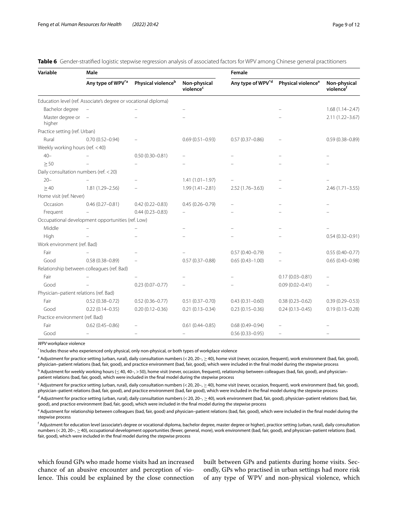| Variable                               | Male                                                            |                                |                                       | Female                        |                                |                           |  |
|----------------------------------------|-----------------------------------------------------------------|--------------------------------|---------------------------------------|-------------------------------|--------------------------------|---------------------------|--|
|                                        | Any type of WPV <sup>*a</sup>                                   | Physical violence <sup>b</sup> | Non-physical<br>violence <sup>c</sup> | Any type of WPV <sup>*d</sup> | Physical violence <sup>e</sup> | Non-physical<br>violencef |  |
|                                        | Education level (ref. Associate's degree or vocational diploma) |                                |                                       |                               |                                |                           |  |
| Bachelor degree                        |                                                                 |                                |                                       |                               |                                | $1.68(1.14 - 2.47)$       |  |
| Master degree or<br>higher             | $\overline{a}$                                                  |                                |                                       |                               |                                | $2.11(1.22 - 3.67)$       |  |
| Practice setting (ref. Urban)          |                                                                 |                                |                                       |                               |                                |                           |  |
| Rural                                  | $0.70(0.52 - 0.94)$                                             |                                | $0.69(0.51 - 0.93)$                   | $0.57(0.37 - 0.86)$           |                                | $0.59(0.38 - 0.89)$       |  |
| Weekly working hours (ref. < 40)       |                                                                 |                                |                                       |                               |                                |                           |  |
| $40 -$                                 |                                                                 | $0.50(0.30 - 0.81)$            |                                       |                               |                                |                           |  |
| $\geq$ 50                              |                                                                 |                                |                                       |                               |                                |                           |  |
| Daily consultation numbers (ref. < 20) |                                                                 |                                |                                       |                               |                                |                           |  |
| $20 -$                                 |                                                                 |                                | $1.41(1.01 - 1.97)$                   |                               |                                |                           |  |
| $\geq$ 40                              | 1.81 (1.29-2.56)                                                |                                | $1.99(1.41 - 2.81)$                   | $2.52(1.76 - 3.63)$           |                                | $2.46(1.71 - 3.55)$       |  |
| Home visit (ref. Never)                |                                                                 |                                |                                       |                               |                                |                           |  |
| Occasion                               | $0.46(0.27 - 0.81)$                                             | $0.42(0.22 - 0.83)$            | $0.45(0.26 - 0.79)$                   |                               |                                |                           |  |
| Frequent                               |                                                                 | $0.44(0.23 - 0.83)$            |                                       |                               |                                |                           |  |
|                                        | Occupational development opportunities (ref. Low)               |                                |                                       |                               |                                |                           |  |
| Middle                                 |                                                                 |                                |                                       |                               |                                |                           |  |
| High                                   |                                                                 |                                |                                       |                               |                                | $0.54(0.32 - 0.91)$       |  |
| Work environment (ref. Bad)            |                                                                 |                                |                                       |                               |                                |                           |  |
| Fair                                   |                                                                 |                                |                                       | $0.57(0.40 - 0.79)$           |                                | $0.55(0.40 - 0.77)$       |  |
| Good                                   | $0.58(0.38 - 0.89)$                                             |                                | $0.57(0.37 - 0.88)$                   | $0.65(0.43 - 1.00)$           |                                | $0.65(0.43 - 0.98)$       |  |
|                                        | Relationship between colleagues (ref. Bad)                      |                                |                                       |                               |                                |                           |  |
| Fair                                   |                                                                 |                                |                                       |                               | $0.17(0.03 - 0.81)$            |                           |  |
| Good                                   |                                                                 | $0.23(0.07 - 0.77)$            |                                       |                               | $0.09(0.02 - 0.41)$            |                           |  |
| Physician-patient relations (ref. Bad) |                                                                 |                                |                                       |                               |                                |                           |  |
| Fair                                   | $0.52(0.38 - 0.72)$                                             | $0.52(0.36 - 0.77)$            | $0.51(0.37 - 0.70)$                   | $0.43(0.31 - 0.60)$           | $0.38(0.23 - 0.62)$            | $0.39(0.29 - 0.53)$       |  |
| Good                                   | $0.22(0.14 - 0.35)$                                             | $0.20(0.12 - 0.36)$            | $0.21(0.13 - 0.34)$                   | $0.23(0.15 - 0.36)$           | $0.24(0.13 - 0.45)$            | $0.19(0.13 - 0.28)$       |  |
| Practice environment (ref. Bad)        |                                                                 |                                |                                       |                               |                                |                           |  |
| Fair                                   | $0.62(0.45 - 0.86)$                                             |                                | $0.61(0.44 - 0.85)$                   | $0.68(0.49 - 0.94)$           |                                |                           |  |
| Good                                   |                                                                 |                                |                                       | $0.56(0.33 - 0.95)$           | $\equiv$                       |                           |  |

<span id="page-8-0"></span>

|  | <b>Table 6</b> Gender-stratified logistic stepwise regression analysis of associated factors for WPV among Chinese general practitioners |  |  |  |  |  |  |  |  |  |  |
|--|------------------------------------------------------------------------------------------------------------------------------------------|--|--|--|--|--|--|--|--|--|--|
|--|------------------------------------------------------------------------------------------------------------------------------------------|--|--|--|--|--|--|--|--|--|--|

*WPV* workplace violence

\* Includes those who experienced only physical, only non-physical, or both types of workplace violence

 $^{\rm a}$  Adjustment for practice setting (urban, rural), daily consultation numbers (< 20, 20–,  $\geq$  40), home visit (never, occasion, frequent), work environment (bad, fair, good), physician–patient relations (bad, fair, good), and practice environment (bad, fair, good), which were included in the fnal model during the stepwise process

 $^{\rm b}$  Adjustment for weekly working hours ( $\leq$ 40, 40–, > 50), home visit (never, occasion, frequent), relationship between colleagues (bad, fair, good), and physician– patient relations (bad, fair, good), which were included in the fnal model during the stepwise process

c Adjustment for practice setting (urban, rural), daily consultation numbers (<20, 20–, ≥40), home visit (never, occasion, frequent), work environment (bad, fair, good), physician–patient relations (bad, fair, good), and practice environment (bad, fair good), which were included in the fnal model during the stepwise process

<sup>d</sup> Adjustment for practice setting (urban, rural), daily consultation numbers (< 20, 20–,  $\geq$  40), work environment (bad, fair, good), physician–patient relations (bad, fair, good), and practice environment (bad, fair, good), which were included in the fnal model during the stepwise process

e Adjustment for relationship between colleagues (bad, fair, good) and physician–patient relations (bad, fair, good), which were included in the final model during the stepwise process

f Adjustment for education level (associate's degree or vocational diploma, bachelor degree, master degree or higher), practice setting (urban, rural), daily consultation numbers (<20, 20−, ≥40), occupational development opportunities (fewer, general, more), work environment (bad, fair, good), and physician–patient relations (bad, fair, good), which were included in the fnal model during the stepwise process

which found GPs who made home visits had an increased chance of an abusive encounter and perception of violence. This could be explained by the close connection built between GPs and patients during home visits. Secondly, GPs who practised in urban settings had more risk of any type of WPV and non-physical violence, which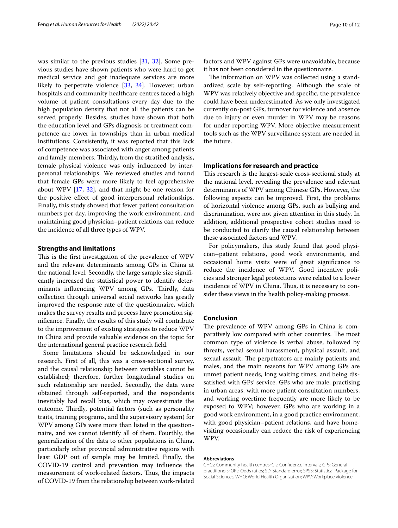was similar to the previous studies [[31,](#page-11-3) [32](#page-11-4)]. Some previous studies have shown patients who were hard to get medical service and got inadequate services are more likely to perpetrate violence [[33,](#page-11-5) [34\]](#page-11-6). However, urban hospitals and community healthcare centres faced a high volume of patient consultations every day due to the high population density that not all the patients can be served properly. Besides, studies have shown that both the education level and GPs diagnosis or treatment competence are lower in townships than in urban medical institutions. Consistently, it was reported that this lack of competence was associated with anger among patients and family members. Thirdly, from the stratified analysis, female physical violence was only infuenced by interpersonal relationships. We reviewed studies and found that female GPs were more likely to feel apprehensive about WPV [\[17](#page-10-21), [32](#page-11-4)], and that might be one reason for the positive efect of good interpersonal relationships. Finally, this study showed that fewer patient consultation numbers per day, improving the work environment, and maintaining good physician–patient relations can reduce the incidence of all three types of WPV.

# **Strengths and limitations**

This is the first investigation of the prevalence of WPV and the relevant determinants among GPs in China at the national level. Secondly, the large sample size signifcantly increased the statistical power to identify determinants influencing WPV among GPs. Thirdly, data collection through universal social networks has greatly improved the response rate of the questionnaire, which makes the survey results and process have promotion signifcance. Finally, the results of this study will contribute to the improvement of existing strategies to reduce WPV in China and provide valuable evidence on the topic for the international general practice research feld.

Some limitations should be acknowledged in our research. First of all, this was a cross-sectional survey, and the causal relationship between variables cannot be established; therefore, further longitudinal studies on such relationship are needed. Secondly, the data were obtained through self-reported, and the respondents inevitably had recall bias, which may overestimate the outcome. Thirdly, potential factors (such as personality traits, training programs, and the supervisory system) for WPV among GPs were more than listed in the questionnaire, and we cannot identify all of them. Fourthly, the generalization of the data to other populations in China, particularly other provincial administrative regions with least GDP out of sample may be limited. Finally, the COVID-19 control and prevention may infuence the measurement of work-related factors. Thus, the impacts of COVID-19 from the relationship between work-related factors and WPV against GPs were unavoidable, because it has not been considered in the questionnaire.

The information on WPV was collected using a standardized scale by self-reporting. Although the scale of WPV was relatively objective and specifc, the prevalence could have been underestimated. As we only investigated currently on-post GPs, turnover for violence and absence due to injury or even murder in WPV may be reasons for under-reporting WPV. More objective measurement tools such as the WPV surveillance system are needed in the future.

# **Implications for research and practice**

This research is the largest-scale cross-sectional study at the national level, revealing the prevalence and relevant determinants of WPV among Chinese GPs. However, the following aspects can be improved. First, the problems of horizontal violence among GPs, such as bullying and discrimination, were not given attention in this study. In addition, additional prospective cohort studies need to be conducted to clarify the causal relationship between these associated factors and WPV.

For policymakers, this study found that good physician–patient relations, good work environments, and occasional home visits were of great signifcance to reduce the incidence of WPV. Good incentive policies and stronger legal protections were related to a lower incidence of WPV in China. Thus, it is necessary to consider these views in the health policy-making process.

# **Conclusion**

The prevalence of WPV among GPs in China is comparatively low compared with other countries. The most common type of violence is verbal abuse, followed by threats, verbal sexual harassment, physical assault, and sexual assault. The perpetrators are mainly patients and males, and the main reasons for WPV among GPs are unmet patient needs, long waiting times, and being dissatisfed with GPs' service. GPs who are male, practising in urban areas, with more patient consultation numbers, and working overtime frequently are more likely to be exposed to WPV; however, GPs who are working in a good work environment, in a good practice environment, with good physician–patient relations, and have homevisiting occasionally can reduce the risk of experiencing WPV.

#### **Abbreviations**

CHCs: Community health centres; CIs: Confdence intervals; GPs: General practitioners; ORs: Odds ratios; SD: Standard error; SPSS: Statistical Package for Social Sciences; WHO: World Health Organization; WPV: Workplace violence.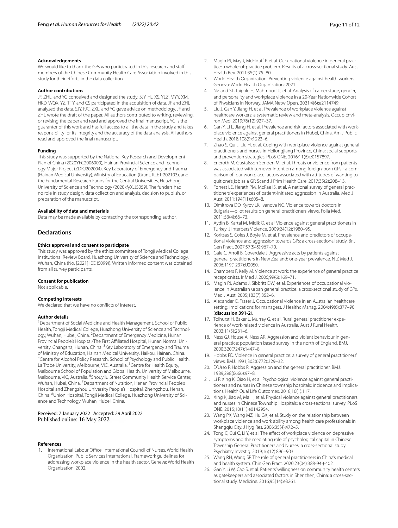#### **Acknowledgements**

We would like to thank the GPs who participated in this research and staff members of the Chinese Community Health Care Association involved in this study for their efforts in the data collection.

#### **Author contributions**

JF, ZHL, and YG conceived and designed the study. SJY, HJ, XS, YLZ, MYY, XM, HKD, WQX, YZ, TTY, and CS participated in the acquisition of data. JF and ZHL analyzed the data. SJY, FJC, ZXL, and YG gave advice on methodology. JF and ZHL wrote the draft of the paper. All authors contributed to writing, reviewing, or revising the paper and read and approved the fnal manuscript. YG is the guarantor of this work and has full access to all the data in the study and takes responsibility for its integrity and the accuracy of the data analysis. All authors read and approved the fnal manuscript.

#### **Funding**

This study was supported by the National Key Research and Development Plan of China (2020YFC2006000), Hainan Provincial Science and Technology Major Project (ZDKJ202004), Key Laboratory of Emergency and Trauma (Hainan Medical University), Ministry of Education (Grant. KLET-202103), and the Fundamental Research Funds for the Central Universities, Huazhong University of Science and Technology (2020kfyXJJS059). The funders had no role in study design, data collection and analysis, decision to publish, or preparation of the manuscript.

### **Availability of data and materials**

Data may be made available by contacting the corresponding author.

# **Declarations**

#### **Ethics approval and consent to participate**

This study was approved by the ethics committee of Tongji Medical College Institutional Review Board, Huazhong University of Science and Technology, Wuhan, China (No. [2021] IEC (S099)). Written informed consent was obtained from all survey participants.

#### **Consent for publication**

Not applicable.

#### **Competing interests**

We declared that we have no conflicts of interest.

# **Author details**

<sup>1</sup> Department of Social Medicine and Health Management, School of Public Health, Tongji Medical College, Huazhong University of Science and Technology, Wuhan, Hubei, China. <sup>2</sup> Department of Emergency Medicine, Hunan Provincial People's Hospital/The First Affiliated Hospital, Hunan Normal University, Changsha, Hunan, China. <sup>3</sup> Key Laboratory of Emergency and Trauma of Ministry of Education, Hainan Medical University, Haikou, Hainan, China. 4 <sup>4</sup> Centre for Alcohol Policy Research, School of Psychology and Public Health, La Trobe University, Melbourne, VIC, Australia. <sup>5</sup> Centre for Health Equity, Melbourne School of Population and Global Health, University of Melbourne, Melbourne, VIC, Australia. <sup>6</sup>Shouyilu Street Community Health Service Center, Wuhan, Hubei, China. <sup>7</sup> Department of Nutrition, Henan Provincial People's Hospital and Zhengzhou University People's Hospital, Zhengzhou, Henan, China. <sup>8</sup>Union Hospital, Tongji Medical College, Huazhong University of Science and Technology, Wuhan, Hubei, China.

# Received: 7 January 2022 Accepted: 29 April 2022<br>Published online: 16 May 2022

#### **References**

<span id="page-10-0"></span>International Labour Office, International Council of Nurses, World Health Organization, Public Services International. Framework guidelines for addressing workplace violence in the health sector. Geneva: World Health Organization; 2002.

- <span id="page-10-1"></span>2. Magin PJ, May J, McElduff P, et al. Occupational violence in general practice: a whole-of-practice problem. Results of a cross-sectional study. Aust Health Rev. 2011;35(1):75–80.
- <span id="page-10-2"></span>3. World Health Organization. Preventing violence against health workers. Geneva: World Health Organization; 2021.
- <span id="page-10-3"></span>4. Nøland ST, Taipale H, Mahmood JI, et al. Analysis of career stage, gender, and personality and workplace violence in a 20-Year Nationwide Cohort of Physicians in Norway. JAMA Netw Open. 2021;4(6):e2114749.
- Liu J, Gan Y, Jiang H, et al. Prevalence of workplace violence against healthcare workers: a systematic review and meta-analysis. Occup Environ Med. 2019;76(12):927–37.
- <span id="page-10-11"></span>6. Gan Y, Li L, Jiang H, et al. Prevalence and risk factors associated with workplace violence against general practitioners in Hubei, China. Am J Public Health. 2018;108(9):1223–6.
- <span id="page-10-4"></span>7. Zhao S, Qu L, Liu H, et al. Coping with workplace violence against general practitioners and nurses in Heilongjiang Province, China: social supports and prevention strategies. PLoS ONE. 2016;11(6):e0157897.
- <span id="page-10-5"></span>8. Eneroth M, Gustafsson Senden M, et al. Threats or violence from patients was associated with turnover intention among foreign-born GPs - a comparison of four workplace factors associated with attitudes of wanting to quit one's job as a GP. Scand J Prim Health Care. 2017;35(2):208–13.
- <span id="page-10-7"></span>9. Forrest LE, Herath PM, McRae IS, et al. A national survey of general practitioners' experiences of patient-initiated aggression in Australia. Med J Aust. 2011;194(11):605–8.
- 10. Dimitrova DD, Kyrov LK, Ivanova NG. Violence towards doctors in Bulgaria—pilot results on general practitioners views. Folia Med. 2011;53(4):66–73.
- <span id="page-10-16"></span>11. Aydin B, Kartal M, Midik O, et al. Violence against general practitioners in Turkey. J Interpers Violence. 2009;24(12):1980–95.
- <span id="page-10-10"></span>12. Koritsas S, Coles J, Boyle M, et al. Prevalence and predictors of occupational violence and aggression towards GPs: a cross-sectional study. Br J Gen Pract. 2007;57(545):967–70.
- <span id="page-10-8"></span>13. Gale C, Arroll B, Coverdale J. Aggressive acts by patients against general practitioners in New Zealand: one-year prevalence. N Z Med J. 2006;119(1237):U2050.
- <span id="page-10-17"></span>14. Chambers F, Kelly M. Violence at work: the experience of general practice receptionists. Ir Med J. 2006;99(6):169–71.
- <span id="page-10-9"></span>15. Magin PJ, Adams J, Sibbritt DW, et al. Experiences of occupational violence in Australian urban general practice: a cross-sectional study of GPs. Med J Aust. 2005;183(7):352–6.
- <span id="page-10-18"></span>16. Alexander C, Fraser J. Occupational violence in an Australian healthcare setting: implications for managers. J Healthc Manag. 2004;49(6):377–90 (**discussion 391-2**).
- <span id="page-10-21"></span>17. Tolhurst H, Baker L, Murray G, et al. Rural general practitioner experience of work-related violence in Australia. Aust J Rural Health. 2003;11(5):231–6.
- 18. Ness GJ, House A, Ness AR. Aggression and violent behaviour in general practice: population based survey in the north of England. BMJ. 2000;320(7247):1447–8.
- 19. Hobbs FD. Violence in general practice: a survey of general practitioners' views. BMJ. 1991;302(6772):329–32.
- <span id="page-10-6"></span>20. D'Urso P, Hobbs R. Aggression and the general practitioner. BMJ. 1989;298(6666):97–8.
- <span id="page-10-12"></span>21. Li P, Xing K, Qiao H, et al. Psychological violence against general practitioners and nurses in Chinese township hospitals: incidence and implications. Health Qual Life Outcomes. 2018;16(1):117.
- <span id="page-10-13"></span>22. Xing K, Jiao M, Ma H, et al. Physical violence against general practitioners and nurses in Chinese Township Hospitals: a cross-sectional survey. PLoS ONE. 2015;10(11):e0142954.
- <span id="page-10-14"></span>23. Wang PX, Wang MZ, Hu GX, et al. Study on the relationship between workplace violence and work ability among health care professionals in Shangqiu City. J Hyg Res. 2006;35(4):472–5.
- <span id="page-10-15"></span>24. Tong C, Cui C, Li Y, et al. The effect of workplace violence on depressive symptoms and the mediating role of psychological capital in Chinese Township General Practitioners and Nurses: a cross-sectional study. Psychiatry Investig. 2019;16(12):896–903.
- <span id="page-10-19"></span>25. Wang RH, Wang SP. The role of general practitioners in China's medical and health system. Chin Gen Pract. 2020;23(04):388-94+402.
- <span id="page-10-20"></span>26. Gan Y, Li W, Cao S, et al. Patients' willingness on community health centers as gatekeepers and associated factors in Shenzhen, China: a cross-sectional study. Medicine. 2016;95(14):e3261.